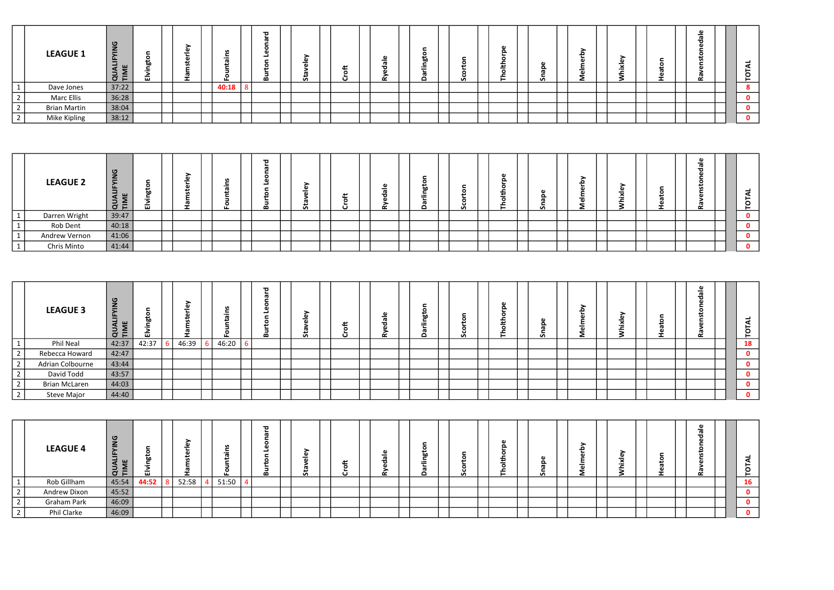|                              | <b>LEAGUE 1</b>     | $\sigma$<br>_<br>$\overline{\phantom{0}}$<br>ட<br><u>—</u><br>т.<br>$O+$ | LU. | -01 | ш.    | $\overline{\phantom{a}}$<br>മ | ><br>G)<br>ທ |  |  | o<br>hn<br>$\cdot$ $-$ | <b>SA</b> |  | <b>S</b> |  |  | <b>__</b> | - |  | -<br>╭   |
|------------------------------|---------------------|--------------------------------------------------------------------------|-----|-----|-------|-------------------------------|--------------|--|--|------------------------|-----------|--|----------|--|--|-----------|---|--|----------|
| $\mathbf{1}$<br>$\mathbf{r}$ | Dave Jones          | 37:22                                                                    |     |     | 40:18 |                               |              |  |  |                        |           |  |          |  |  |           |   |  | <b>O</b> |
| $\overline{2}$               | <b>Marc Ellis</b>   | 36:28                                                                    |     |     |       |                               |              |  |  |                        |           |  |          |  |  |           |   |  | 0        |
| $\overline{2}$               | <b>Brian Martin</b> | 38:04                                                                    |     |     |       |                               |              |  |  |                        |           |  |          |  |  |           |   |  | $\bf{0}$ |
| $\frac{2}{2}$                | Mike Kipling        | 38:12                                                                    |     |     |       |                               |              |  |  |                        |           |  |          |  |  |           |   |  | . റ      |

|               | <b>LEAGUE 2</b> | ு<br>_<br>$\overline{\phantom{0}}$<br>$\bar{C}$ F | c<br>.<br>b٥<br>画 | - |  | $\overline{\mathbf{c}}$<br>മ |  | $\alpha$ | ഗ | G)<br>o<br>. .<br>c |  | - |  | $\overline{\phantom{a}}$ |
|---------------|-----------------|---------------------------------------------------|-------------------|---|--|------------------------------|--|----------|---|---------------------|--|---|--|--------------------------|
| - 4           | Darren Wright   | 39:47                                             |                   |   |  |                              |  |          |   |                     |  |   |  |                          |
|               | Rob Dent        | 40:18                                             |                   |   |  |                              |  |          |   |                     |  |   |  |                          |
| $^{\prime}$ 1 | Andrew Vernon   | 41:06                                             |                   |   |  |                              |  |          |   |                     |  |   |  |                          |
|               | Chris Minto     | 41:44                                             |                   |   |  |                              |  |          |   |                     |  |   |  |                          |

|                   | <b>LEAGUE 3</b>      | 0<br>$\sim$<br>$\sim$<br>ॱ⊏<br>O | ш     | лı<br>سد | ட     | - 73<br>മ | $\overline{\phantom{0}}$<br>ت<br>ÙΛ. |  |  | دد<br>ъo | ഗ |  | ഗ |  | -61 | -- | - |  | <u>—</u><br>-<br>Ö. |
|-------------------|----------------------|----------------------------------|-------|----------|-------|-----------|--------------------------------------|--|--|----------|---|--|---|--|-----|----|---|--|---------------------|
| $\mathbf{1}$      | Phil Neal            | 42:37                            | 42:37 | 46:39    | 46:20 |           |                                      |  |  |          |   |  |   |  |     |    |   |  | 18                  |
| __<br>$\vert$ 2   | Rebecca Howard       | 42:47                            |       |          |       |           |                                      |  |  |          |   |  |   |  |     |    |   |  | 0                   |
| $\vert$ 2         | Adrian Colbourne     | 43:44                            |       |          |       |           |                                      |  |  |          |   |  |   |  |     |    |   |  | 0                   |
| 2                 | David Todd           | 43:57                            |       |          |       |           |                                      |  |  |          |   |  |   |  |     |    |   |  |                     |
| $\boxed{2}$<br>__ | <b>Brian McLaren</b> | 44:03                            |       |          |       |           |                                      |  |  |          |   |  |   |  |     |    |   |  | 0                   |
| 2                 | Steve Major          | 44:40                            |       |          |       |           |                                      |  |  |          |   |  |   |  |     |    |   |  | $\mathbf 0$         |

|            | <b>LEAGUE 4</b> | $\bar{\sigma}$ $\bar{\sigma}$ | دد<br>ħ٨<br>LШ. | -     |  | ш.    | 73<br>മ | ∽<br>Ű٥ |  |  | $\overline{\phantom{0}}$ | Ø | ЮI<br>o<br>$\cdots$<br>_ |  |  |  | - |  | $\sim$    |
|------------|-----------------|-------------------------------|-----------------|-------|--|-------|---------|---------|--|--|--------------------------|---|--------------------------|--|--|--|---|--|-----------|
|            | Rob Gillham     | 45:54                         | 44:52           | 52:58 |  | 51:50 |         |         |  |  |                          |   |                          |  |  |  |   |  | <b>16</b> |
| $\sim$     | Andrew Dixon    | 45:52                         |                 |       |  |       |         |         |  |  |                          |   |                          |  |  |  |   |  |           |
| $\epsilon$ | Graham Park     | 46:09                         |                 |       |  |       |         |         |  |  |                          |   |                          |  |  |  |   |  |           |
| $\sim$     | Phil Clarke     | 46:09                         |                 |       |  |       |         |         |  |  |                          |   |                          |  |  |  |   |  |           |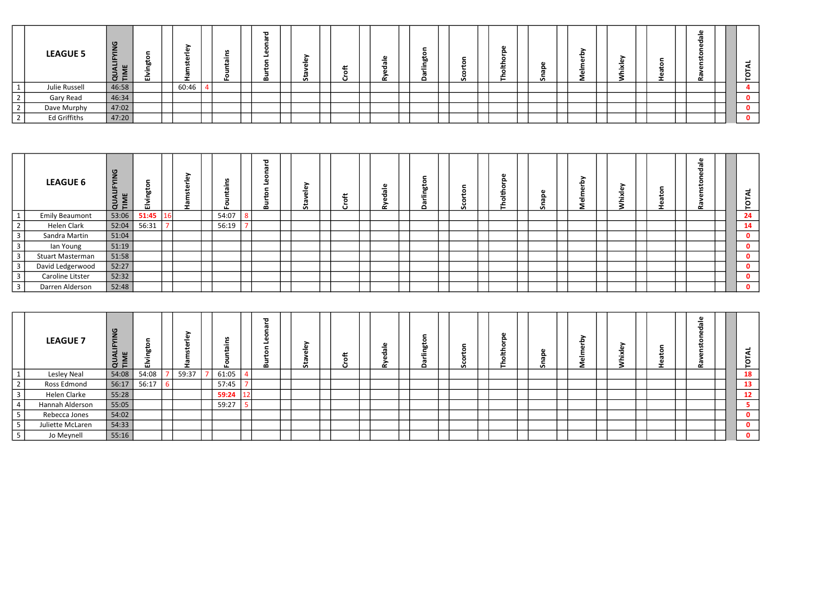|                | <b>LEAGUE 5</b>     | $\sigma$<br>$\overline{\phantom{0}}$<br>ட<br>$\cup$ $\vdash$ | LШ. | -     | <u>н.</u> | $\overline{\phantom{a}}$<br>മ | ><br>G)<br>$\mathbf{a}$<br>ທ |  |  | .<br>hn. | <b>S</b> |  | ≏<br><b>u</b> |  |  | -- |  | $\overline{\phantom{a}}$ |
|----------------|---------------------|--------------------------------------------------------------|-----|-------|-----------|-------------------------------|------------------------------|--|--|----------|----------|--|---------------|--|--|----|--|--------------------------|
| $\mathbf 1$    | Julie Russell       | 46:58                                                        |     | 60:46 |           |                               |                              |  |  |          |          |  |               |  |  |    |  |                          |
| $\overline{2}$ | Gary Read           | 46:34                                                        |     |       |           |                               |                              |  |  |          |          |  |               |  |  |    |  | 0                        |
| $\overline{2}$ | Dave Murphy         | 47:02                                                        |     |       |           |                               |                              |  |  |          |          |  |               |  |  |    |  | 0                        |
| $\overline{2}$ | <b>Ed Griffiths</b> | 47:20                                                        |     |       |           |                               |                              |  |  |          |          |  |               |  |  |    |  | $\mathbf{0}$             |

|                | <b>LEAGUE 6</b>       | ୁ<br>S<br>$\sim$<br>$\sim$<br><b>QUAL</b> | $\circ$<br>ē<br>ы<br>画 | n,<br>œ |       | $\mathbf{\sigma}$<br>മ | ÒΨ<br>-<br>5 |  | ≈ | റ<br><b>bo</b> | ا هسته<br>ഗ | ω<br>௨<br>主<br>$\circ$<br>– | ௨<br>$\overline{\phantom{a}}$ |  | ഄ<br>≂ |  | 73 |  | ₹<br>TOT     |
|----------------|-----------------------|-------------------------------------------|------------------------|---------|-------|------------------------|--------------|--|---|----------------|-------------|-----------------------------|-------------------------------|--|--------|--|----|--|--------------|
|                | <b>Emily Beaumont</b> | 53:06                                     | 51:45                  |         | 54:07 |                        |              |  |   |                |             |                             |                               |  |        |  |    |  | 24           |
| $\overline{2}$ | Helen Clark           | 52:04                                     | 56:31                  |         | 56:19 |                        |              |  |   |                |             |                             |                               |  |        |  |    |  | 14           |
| $\overline{3}$ | Sandra Martin         | 51:04                                     |                        |         |       |                        |              |  |   |                |             |                             |                               |  |        |  |    |  |              |
| $\overline{3}$ | lan Young             | 51:19                                     |                        |         |       |                        |              |  |   |                |             |                             |                               |  |        |  |    |  | $\mathbf 0$  |
| $\overline{3}$ | Stuart Masterman      | 51:58                                     |                        |         |       |                        |              |  |   |                |             |                             |                               |  |        |  |    |  | $\mathbf{0}$ |
| $\overline{3}$ | David Ledgerwood      | 52:27                                     |                        |         |       |                        |              |  |   |                |             |                             |                               |  |        |  |    |  |              |
| $\mathbf{3}$   | Caroline Litster      | 52:32                                     |                        |         |       |                        |              |  |   |                |             |                             |                               |  |        |  |    |  | $\mathbf 0$  |
| $\mathbf{3}$   | Darren Alderson       | 52:48                                     |                        |         |       |                        |              |  |   |                |             |                             |                               |  |        |  |    |  | $\mathbf 0$  |

|                 | <b>LEAGUE 7</b>  | ு<br>$\overline{z}$<br>$-$<br>$\bar{C}$ F | 面     |       |       | ъ | ➤<br>'n.<br>-<br>-<br>5 |  | -01<br>≃ | hn<br>$-$<br>o | ്റ് | ൦<br>c<br><u>ш</u><br>≖<br>C<br>ᅩ | $\mathbf{v}$ |  | ്ധ<br>- 11 | . . | _<br>-<br>≃ |  | $\overline{\phantom{a}}$<br>◀<br>$\circ$<br>► |
|-----------------|------------------|-------------------------------------------|-------|-------|-------|---|-------------------------|--|----------|----------------|-----|-----------------------------------|--------------|--|------------|-----|-------------|--|-----------------------------------------------|
|                 | Lesley Neal      | 54:08                                     | 54:08 | 59:37 | 61:05 |   |                         |  |          |                |     |                                   |              |  |            |     |             |  | 18                                            |
| $\epsilon$      | Ross Edmond      | 56:17                                     | 56:17 |       | 57:45 |   |                         |  |          |                |     |                                   |              |  |            |     |             |  | 13                                            |
| $\overline{3}$  | Helen Clarke     | 55:28                                     |       |       | 59:24 |   |                         |  |          |                |     |                                   |              |  |            |     |             |  | 12                                            |
| 4               | Hannah Alderson  | 55:05                                     |       |       | 59:27 |   |                         |  |          |                |     |                                   |              |  |            |     |             |  |                                               |
|                 | Rebecca Jones    | 54:02                                     |       |       |       |   |                         |  |          |                |     |                                   |              |  |            |     |             |  |                                               |
|                 | Juliette McLaren | 54:33                                     |       |       |       |   |                         |  |          |                |     |                                   |              |  |            |     |             |  |                                               |
| $5\phantom{.0}$ | Jo Meynell       | 55:16                                     |       |       |       |   |                         |  |          |                |     |                                   |              |  |            |     |             |  |                                               |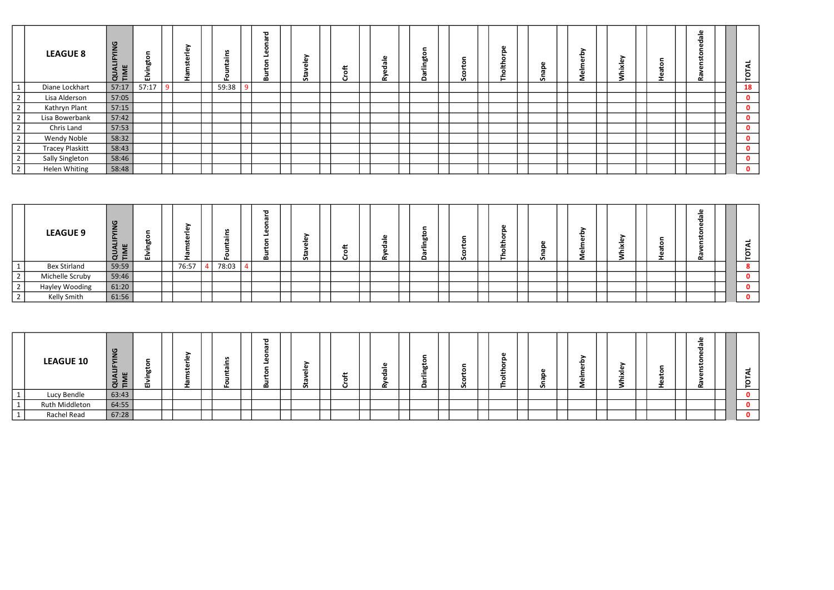|                      | <b>LEAGUE 8</b>        | 9g<br>$\overline{a}$<br>Ë<br>$\blacksquare$<br>∍<br>$\vec{a}$ | bn<br>$\overline{\phantom{0}}$<br>÷<br>ш. |  |       | ಾ<br>മ | ω<br>Û. | ≖ |  | $\circ$<br>b٥<br>$=$ | ō<br>.<br>o<br><b>S</b> | <b>G</b><br>$\Omega$<br>o<br>ᅩ<br>≖<br>_<br>o<br>ᅩ | n,<br>ഉ | > | - 61<br>÷ | O | $\overline{\phantom{0}}$ | ₹<br><b>TOT</b> |
|----------------------|------------------------|---------------------------------------------------------------|-------------------------------------------|--|-------|--------|---------|---|--|----------------------|-------------------------|----------------------------------------------------|---------|---|-----------|---|--------------------------|-----------------|
| $\mathbf{1}$         | Diane Lockhart         | 57:17                                                         | 57:17                                     |  | 59:38 |        |         |   |  |                      |                         |                                                    |         |   |           |   |                          | <b>18</b>       |
| $\frac{2}{\sqrt{2}}$ | Lisa Alderson          | 57:05                                                         |                                           |  |       |        |         |   |  |                      |                         |                                                    |         |   |           |   |                          | $\mathbf 0$     |
| $\overline{2}$       | Kathryn Plant          | 57:15                                                         |                                           |  |       |        |         |   |  |                      |                         |                                                    |         |   |           |   |                          | $\mathbf 0$     |
| $\overline{2}$       | Lisa Bowerbank         | 57:42                                                         |                                           |  |       |        |         |   |  |                      |                         |                                                    |         |   |           |   |                          | $\mathbf 0$     |
| $\overline{2}$       | Chris Land             | 57:53                                                         |                                           |  |       |        |         |   |  |                      |                         |                                                    |         |   |           |   |                          | $\mathbf 0$     |
| $\overline{2}$       | <b>Wendy Noble</b>     | 58:32                                                         |                                           |  |       |        |         |   |  |                      |                         |                                                    |         |   |           |   |                          | $\mathbf 0$     |
| $\overline{2}$       | <b>Tracey Plaskitt</b> | 58:43                                                         |                                           |  |       |        |         |   |  |                      |                         |                                                    |         |   |           |   |                          | $\mathbf{0}$    |
| $\overline{2}$       | <b>Sally Singleton</b> | 58:46                                                         |                                           |  |       |        |         |   |  |                      |                         |                                                    |         |   |           |   |                          | $\mathbf 0$     |
| $\overline{2}$       | <b>Helen Whiting</b>   | 58:48                                                         |                                           |  |       |        |         |   |  |                      |                         |                                                    |         |   |           |   |                          | $\mathbf 0$     |

|        | <b>LEAGUE 9</b>     | $\sigma$<br>-<br>-<br>$\sim$<br>⊂<br>$\sim$<br>$\sigma$ $\vdash$ | .<br>br<br>-<br>LШ |       | $\overline{\phantom{0}}$ | - 73<br>മ | $\overline{\phantom{0}}$<br>Ù. | $\cdot$ $\cdot$ | _<br>⇁<br>-- | ь٥<br>$=$<br>c | v | <b>A</b><br>௨<br>. . | ω<br>௨<br><b>S</b> |  | $\overline{\phantom{0}}$ |  | - |  | $\overline{\phantom{a}}$<br>$\blacktriangleleft$<br>⊢<br>Ö<br>$\vdash$ |
|--------|---------------------|------------------------------------------------------------------|--------------------|-------|--------------------------|-----------|--------------------------------|-----------------|--------------|----------------|---|----------------------|--------------------|--|--------------------------|--|---|--|------------------------------------------------------------------------|
|        | <b>Bex Stirland</b> | 59:59                                                            |                    | 76:57 | 78:03                    |           |                                |                 |              |                |   |                      |                    |  |                          |  |   |  | $\bullet$<br>O.                                                        |
|        | Michelle Scruby     | 59:46                                                            |                    |       |                          |           |                                |                 |              |                |   |                      |                    |  |                          |  |   |  | $\mathbf{0}$                                                           |
| $\sim$ | Hayley Wooding      | 61:20                                                            |                    |       |                          |           |                                |                 |              |                |   |                      |                    |  |                          |  |   |  | $\mathbf{0}$                                                           |
|        | Kelly Smith         | 61:56                                                            |                    |       |                          |           |                                |                 |              |                |   |                      |                    |  |                          |  |   |  | $\mathbf 0$                                                            |

|              | <b>LEAGUE 10</b> | $\sigma$<br>$\equiv$<br>ட<br>OF A | o<br>画 |  |  | $\overline{\mathbf{a}}$<br>≃ |  | متم |  | ഗ | G)<br>മ<br>o<br>مند |  | $\overline{\phantom{a}}$ | -- |  | $\overline{\phantom{a}}$ |  |
|--------------|------------------|-----------------------------------|--------|--|--|------------------------------|--|-----|--|---|---------------------|--|--------------------------|----|--|--------------------------|--|
| $\mathbf{1}$ | Lucy Bendle      | 63:43                             |        |  |  |                              |  |     |  |   |                     |  |                          |    |  |                          |  |
| $\perp$      | Ruth Middleton   | 64:55                             |        |  |  |                              |  |     |  |   |                     |  |                          |    |  |                          |  |
|              | Rachel Read      | 67:28                             |        |  |  |                              |  |     |  |   |                     |  |                          |    |  |                          |  |